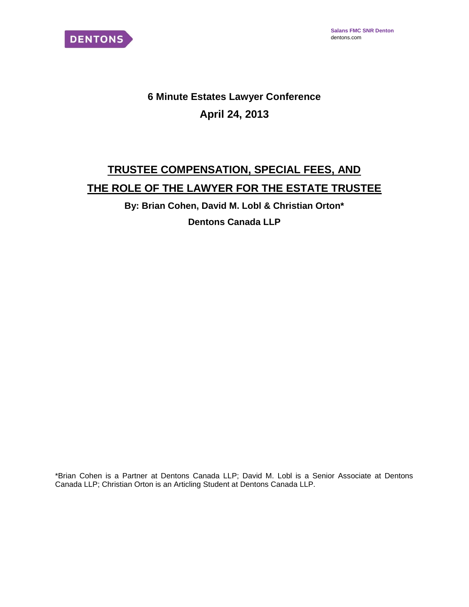

# **6 Minute Estates Lawyer Conference April 24, 2013**

# **TRUSTEE COMPENSATION, SPECIAL FEES, AND THE ROLE OF THE LAWYER FOR THE ESTATE TRUSTEE**

**By: Brian Cohen, David M. Lobl & Christian Orton\* Dentons Canada LLP**

\*Brian Cohen is a Partner at Dentons Canada LLP; David M. Lobl is a Senior Associate at Dentons Canada LLP; Christian Orton is an Articling Student at Dentons Canada LLP.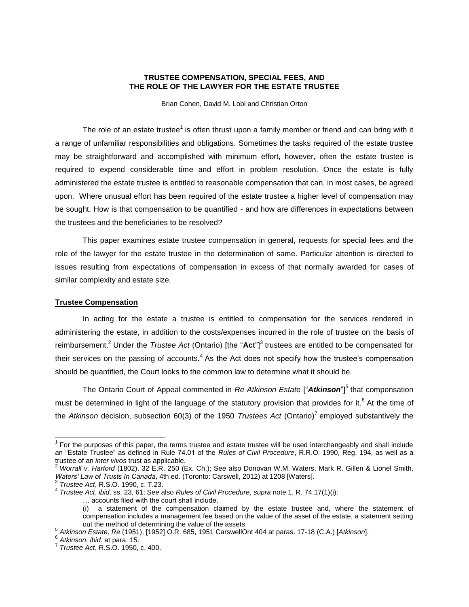## **TRUSTEE COMPENSATION, SPECIAL FEES, AND THE ROLE OF THE LAWYER FOR THE ESTATE TRUSTEE**

Brian Cohen, David M. Lobl and Christian Orton

The role of an estate trustee<sup>1</sup> is often thrust upon a family member or friend and can bring with it a range of unfamiliar responsibilities and obligations. Sometimes the tasks required of the estate trustee may be straightforward and accomplished with minimum effort, however, often the estate trustee is required to expend considerable time and effort in problem resolution. Once the estate is fully administered the estate trustee is entitled to reasonable compensation that can, in most cases, be agreed upon. Where unusual effort has been required of the estate trustee a higher level of compensation may be sought. How is that compensation to be quantified - and how are differences in expectations between the trustees and the beneficiaries to be resolved?

This paper examines estate trustee compensation in general, requests for special fees and the role of the lawyer for the estate trustee in the determination of same. Particular attention is directed to issues resulting from expectations of compensation in excess of that normally awarded for cases of similar complexity and estate size.

## **Trustee Compensation**

In acting for the estate a trustee is entitled to compensation for the services rendered in administering the estate, in addition to the costs/expenses incurred in the role of trustee on the basis of reimbursement.<sup>2</sup> Under the *Trustee Act* (Ontario) [the "Act"]<sup>3</sup> trustees are entitled to be compensated for their services on the passing of accounts.<sup>4</sup> As the Act does not specify how the trustee's compensation should be quantified, the Court looks to the common law to determine what it should be.

The Ontario Court of Appeal commented in *Re Atkinson Estate* ["Atkinson"]<sup>5</sup> that compensation must be determined in light of the language of the statutory provision that provides for it.<sup>6</sup> At the time of the Atkinson decision, subsection 60(3) of the 1950 Trustees Act (Ontario)<sup>7</sup> employed substantively the

 $1$  For the purposes of this paper, the terms trustee and estate trustee will be used interchangeably and shall include an "Estate Trustee" as defined in Rule 74.01 of the *Rules of Civil Procedure*, R.R.O. 1990, Reg. 194, as well as a trustee of an *inter vivos* trust as applicable.

<sup>2</sup> *Worrall v. Harford* (1802), 32 E.R. 250 (Ex. Ch.); See also Donovan W.M. Waters, Mark R. Gillen & Lionel Smith, *Waters' Law of Trusts In Canada*, 4th ed. (Toronto: Carswell, 2012) at 1208 [Waters].

<sup>3</sup> *Trustee Act*, R.S.O. 1990, c. T.23.

<sup>4</sup> *Trustee Act*, *ibid*. ss. 23, 61; See also *Rules of Civil Procedure*, *supra* note 1, R. 74.17(1)(i):

<sup>…</sup> accounts filed with the court shall include,

<sup>(</sup>i) a statement of the compensation claimed by the estate trustee and, where the statement of compensation includes a management fee based on the value of the asset of the estate, a statement setting out the method of determining the value of the assets

<sup>5</sup> *Atkinson Estate, Re* (1951), [1952] O.R. 685, 1951 CarswellOnt 404 at paras. 17-18 (C.A.) [*Atkinson*].

<sup>6</sup> *Atkinson*, *ibid*. at para. 15.

<sup>7</sup> *Trustee Act*, R.S.O. 1950, c. 400.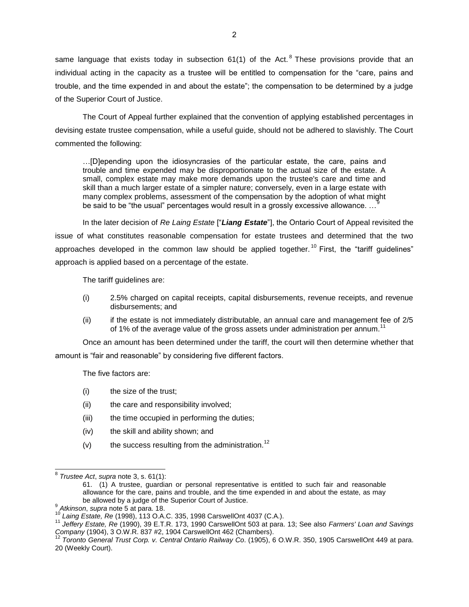same language that exists today in subsection 61(1) of the Act.  $8$  These provisions provide that an individual acting in the capacity as a trustee will be entitled to compensation for the "care, pains and trouble, and the time expended in and about the estate"; the compensation to be determined by a judge of the Superior Court of Justice.

The Court of Appeal further explained that the convention of applying established percentages in devising estate trustee compensation, while a useful guide, should not be adhered to slavishly. The Court commented the following:

…[D]epending upon the idiosyncrasies of the particular estate, the care, pains and trouble and time expended may be disproportionate to the actual size of the estate. A small, complex estate may make more demands upon the trustee's care and time and skill than a much larger estate of a simpler nature; conversely, even in a large estate with many complex problems, assessment of the compensation by the adoption of what might be said to be "the usual" percentages would result in a grossly excessive allowance. …<sup>9</sup>

In the later decision of *Re Laing Estate* ["*Liang Estate*"], the Ontario Court of Appeal revisited the issue of what constitutes reasonable compensation for estate trustees and determined that the two approaches developed in the common law should be applied together.<sup>10</sup> First, the "tariff guidelines" approach is applied based on a percentage of the estate.

The tariff guidelines are:

- (i) 2.5% charged on capital receipts, capital disbursements, revenue receipts, and revenue disbursements; and
- (ii) if the estate is not immediately distributable, an annual care and management fee of 2/5 of 1% of the average value of the gross assets under administration per annum.<sup>1</sup>

Once an amount has been determined under the tariff, the court will then determine whether that amount is "fair and reasonable" by considering five different factors.

The five factors are:

- (i) the size of the trust;
- (ii) the care and responsibility involved;
- (iii) the time occupied in performing the duties;
- (iv) the skill and ability shown; and
- (v) the success resulting from the administration.<sup>12</sup>

 8 *Trustee Act*, *supra* note 3, s. 61(1):

<sup>61. (1)</sup> A trustee, guardian or personal representative is entitled to such fair and reasonable allowance for the care, pains and trouble, and the time expended in and about the estate, as may be allowed by a judge of the Superior Court of Justice.

<sup>9</sup> *Atkinson*, *supra* note 5 at para. 18.

<sup>10</sup> *Laing Estate, Re* (1998), 113 O.A.C. 335, 1998 CarswellOnt 4037 (C.A.).

<sup>11</sup> *Jeffery Estate, Re* (1990), 39 E.T.R. 173, 1990 CarswellOnt 503 at para. 13; See also *Farmers' Loan and Savings Company* (1904), 3 O.W.R. 837 #2, 1904 CarswellOnt 462 (Chambers).

<sup>12</sup> *Toronto General Trust Corp. v. Central Ontario Railway Co*. (1905), 6 O.W.R. 350, 1905 CarswellOnt 449 at para. 20 (Weekly Court).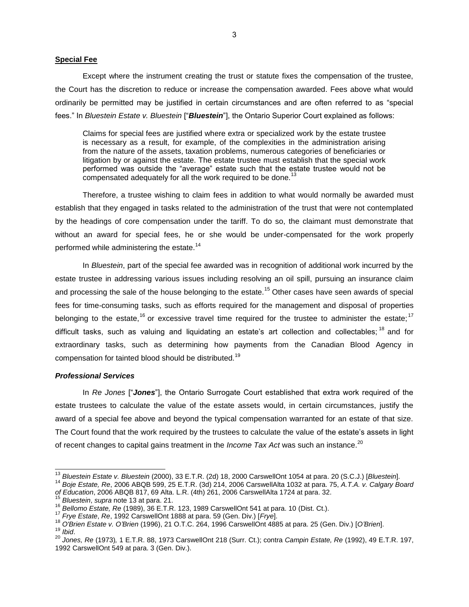#### **Special Fee**

Except where the instrument creating the trust or statute fixes the compensation of the trustee, the Court has the discretion to reduce or increase the compensation awarded. Fees above what would ordinarily be permitted may be justified in certain circumstances and are often referred to as "special fees." In *Bluestein Estate v. Bluestein* ["*Bluestein*"], the Ontario Superior Court explained as follows:

Claims for special fees are justified where extra or specialized work by the estate trustee is necessary as a result, for example, of the complexities in the administration arising from the nature of the assets, taxation problems, numerous categories of beneficiaries or litigation by or against the estate. The estate trustee must establish that the special work performed was outside the "average" estate such that the estate trustee would not be compensated adequately for all the work required to be done.<sup>13</sup>

Therefore, a trustee wishing to claim fees in addition to what would normally be awarded must establish that they engaged in tasks related to the administration of the trust that were not contemplated by the headings of core compensation under the tariff. To do so, the claimant must demonstrate that without an award for special fees, he or she would be under-compensated for the work properly performed while administering the estate.<sup>14</sup>

In *Bluestein*, part of the special fee awarded was in recognition of additional work incurred by the estate trustee in addressing various issues including resolving an oil spill, pursuing an insurance claim and processing the sale of the house belonging to the estate.<sup>15</sup> Other cases have seen awards of special fees for time-consuming tasks, such as efforts required for the management and disposal of properties belonging to the estate,<sup>16</sup> or excessive travel time required for the trustee to administer the estate;<sup>17</sup> difficult tasks, such as valuing and liquidating an estate's art collection and collectables; <sup>18</sup> and for extraordinary tasks, such as determining how payments from the Canadian Blood Agency in compensation for tainted blood should be distributed.<sup>19</sup>

#### *Professional Services*

 $\overline{a}$ 

In *Re Jones* ["*Jones*"], the Ontario Surrogate Court established that extra work required of the estate trustees to calculate the value of the estate assets would, in certain circumstances, justify the award of a special fee above and beyond the typical compensation warranted for an estate of that size. The Court found that the work required by the trustees to calculate the value of the estate's assets in light of recent changes to capital gains treatment in the *Income Tax Act* was such an instance.<sup>20</sup>

<sup>13</sup> *Bluestein Estate v. Bluestein* (2000), 33 E.T.R. (2d) 18, 2000 CarswellOnt 1054 at para. 20 (S.C.J.) [*Bluestein*].

<sup>14</sup> *Boje Estate, Re*, 2006 ABQB 599, 25 E.T.R. (3d) 214, 2006 CarswellAlta 1032 at para. 75, *A.T.A. v. Calgary Board of Education*, 2006 ABQB 817, 69 Alta. L.R. (4th) 261, 2006 CarswellAlta 1724 at para. 32.

<sup>15</sup> *Bluestein*, *supra* note 13 at para. 21.

<sup>16</sup> *Bellomo Estate, Re* (1989), 36 E.T.R. 123, 1989 CarswellOnt 541 at para. 10 (Dist. Ct.).

<sup>17</sup> *Frye Estate*, *Re*, 1992 CarswellOnt 1888 at para. 59 (Gen. Div.) [*Frye*].

<sup>18</sup> *O'Brien Estate v. O'Brien* (1996), 21 O.T.C. 264, 1996 CarswellOnt 4885 at para. 25 (Gen. Div.) [*O'Brien*]. <sup>19</sup> *Ibid*.

<sup>20</sup> *Jones, Re* (1973)*,* 1 E.T.R. 88, 1973 CarswellOnt 218 (Surr. Ct.); contra *Campin Estate, Re* (1992), 49 E.T.R. 197, 1992 CarswellOnt 549 at para. 3 (Gen. Div.).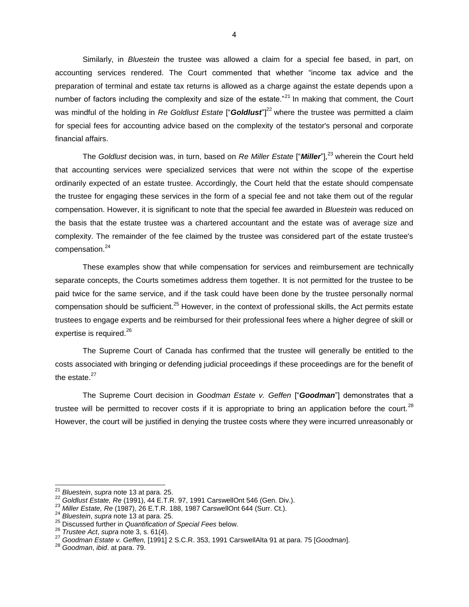Similarly, in *Bluestein* the trustee was allowed a claim for a special fee based, in part, on accounting services rendered. The Court commented that whether "income tax advice and the preparation of terminal and estate tax returns is allowed as a charge against the estate depends upon a number of factors including the complexity and size of the estate.<sup> $21$ </sup> In making that comment, the Court was mindful of the holding in *Re Goldlust Estate* ["*Goldlust*"]<sup>22</sup> where the trustee was permitted a claim for special fees for accounting advice based on the complexity of the testator's personal and corporate financial affairs.

The *Goldlust* decision was, in turn, based on *Re Miller Estate* ["*Miller*"],<sup>23</sup> wherein the Court held that accounting services were specialized services that were not within the scope of the expertise ordinarily expected of an estate trustee. Accordingly, the Court held that the estate should compensate the trustee for engaging these services in the form of a special fee and not take them out of the regular compensation. However, it is significant to note that the special fee awarded in *Bluestein* was reduced on the basis that the estate trustee was a chartered accountant and the estate was of average size and complexity. The remainder of the fee claimed by the trustee was considered part of the estate trustee's compensation.<sup>24</sup>

These examples show that while compensation for services and reimbursement are technically separate concepts, the Courts sometimes address them together. It is not permitted for the trustee to be paid twice for the same service, and if the task could have been done by the trustee personally normal compensation should be sufficient.<sup>25</sup> However, in the context of professional skills, the Act permits estate trustees to engage experts and be reimbursed for their professional fees where a higher degree of skill or expertise is required.<sup>26</sup>

The Supreme Court of Canada has confirmed that the trustee will generally be entitled to the costs associated with bringing or defending judicial proceedings if these proceedings are for the benefit of the estate  $27$ 

The Supreme Court decision in *Goodman Estate v. Geffen* ["*Goodman*"] demonstrates that a trustee will be permitted to recover costs if it is appropriate to bring an application before the court.<sup>28</sup> However, the court will be justified in denying the trustee costs where they were incurred unreasonably or

 $\overline{a}$ 

<sup>21</sup> *Bluestein*, *supra* note 13 at para. 25.

<sup>22</sup> *Goldlust Estate, Re* (1991), 44 E.T.R. 97, 1991 CarswellOnt 546 (Gen. Div.).

<sup>23</sup> *Miller Estate, Re* (1987), 26 E.T.R. 188, 1987 CarswellOnt 644 (Surr. Ct.).

<sup>24</sup> *Bluestein*, *supra* note 13 at para. 25.

<sup>25</sup> Discussed further in *Quantification of Special Fees* below.

<sup>26</sup> *Trustee Act*, *supra* note 3, s. 61(4).

<sup>27</sup> *Goodman Estate v. Geffen,* [1991] 2 S.C.R. 353, 1991 CarswellAlta 91 at para. 75 [*Goodman*].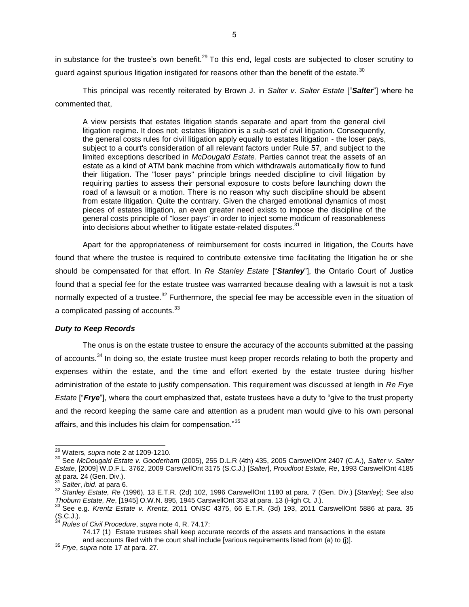in substance for the trustee's own benefit.<sup>29</sup> To this end, legal costs are subjected to closer scrutiny to quard against spurious litigation instigated for reasons other than the benefit of the estate.<sup>30</sup>

This principal was recently reiterated by Brown J. in *Salter v. Salter Estate* ["*Salter*"] where he commented that,

A view persists that estates litigation stands separate and apart from the general civil litigation regime. It does not; estates litigation is a sub-set of civil litigation. Consequently, the general costs rules for civil litigation apply equally to estates litigation - the loser pays, subject to a court's consideration of all relevant factors under Rule 57, and subject to the limited exceptions described in *McDougald Estate*. Parties cannot treat the assets of an estate as a kind of ATM bank machine from which withdrawals automatically flow to fund their litigation. The "loser pays" principle brings needed discipline to civil litigation by requiring parties to assess their personal exposure to costs before launching down the road of a lawsuit or a motion. There is no reason why such discipline should be absent from estate litigation. Quite the contrary. Given the charged emotional dynamics of most pieces of estates litigation, an even greater need exists to impose the discipline of the general costs principle of "loser pays" in order to inject some modicum of reasonableness into decisions about whether to litigate estate-related disputes. $31$ 

Apart for the appropriateness of reimbursement for costs incurred in litigation, the Courts have found that where the trustee is required to contribute extensive time facilitating the litigation he or she should be compensated for that effort. In *Re Stanley Estate* ["*Stanley*"], the Ontario Court of Justice found that a special fee for the estate trustee was warranted because dealing with a lawsuit is not a task normally expected of a trustee.<sup>32</sup> Furthermore, the special fee may be accessible even in the situation of a complicated passing of accounts.<sup>33</sup>

# *Duty to Keep Records*

The onus is on the estate trustee to ensure the accuracy of the accounts submitted at the passing of accounts.<sup>34</sup> In doing so, the estate trustee must keep proper records relating to both the property and expenses within the estate, and the time and effort exerted by the estate trustee during his/her administration of the estate to justify compensation. This requirement was discussed at length in *Re Frye Estate* ["*Frye*"], where the court emphasized that, estate trustees have a duty to "give to the trust property and the record keeping the same care and attention as a prudent man would give to his own personal affairs, and this includes his claim for compensation."<sup>35</sup>

 $\overline{a}$ 

74.17 (1) Estate trustees shall keep accurate records of the assets and transactions in the estate and accounts filed with the court shall include [various requirements listed from (a) to (j)].

<sup>29</sup> Waters, *supra* note 2 at 1209-1210.

<sup>30</sup> See *McDougald Estate v. Gooderham* (2005), 255 D.L.R (4th) 435, 2005 CarswellOnt 2407 (C.A.), *Salter v. Salter Estate*, [2009] W.D.F.L. 3762, 2009 CarswellOnt 3175 (S.C.J.) [*Salter*], *Proudfoot Estate, Re*, 1993 CarswellOnt 4185 at para. 24 (Gen. Div.).

<sup>31</sup> *Salter*, *ibid*. at para 6.

<sup>32</sup> *Stanley Estate, Re* (1996), 13 E.T.R. (2d) 102, 1996 CarswellOnt 1180 at para. 7 (Gen. Div.) [*Stanley*]; See also *Thoburn Estate, Re*, [1945] O.W.N. 895, 1945 CarswellOnt 353 at para. 13 (High Ct. J.).

<sup>33</sup> See e.g. *Krentz Estate v. Krentz*, 2011 ONSC 4375, 66 E.T.R. (3d) 193, 2011 CarswellOnt 5886 at para. 35  $(S.C.J.).$ 

<sup>34</sup> *Rules of Civil Procedure*, *supra* note 4, R. 74.17:

<sup>35</sup> *Frye*, *supra* note 17 at para. 27.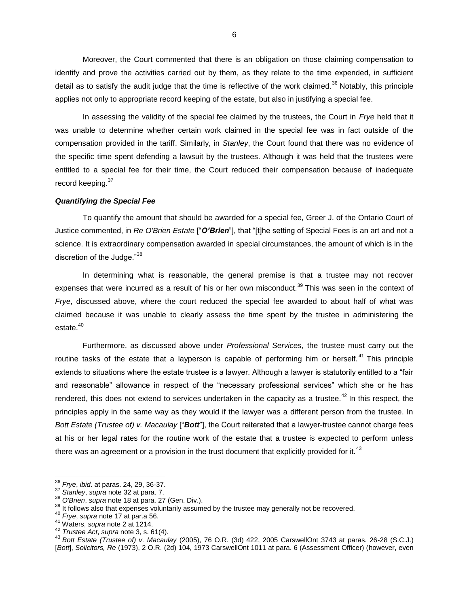Moreover, the Court commented that there is an obligation on those claiming compensation to identify and prove the activities carried out by them, as they relate to the time expended, in sufficient detail as to satisfy the audit judge that the time is reflective of the work claimed.<sup>36</sup> Notably, this principle applies not only to appropriate record keeping of the estate, but also in justifying a special fee.

In assessing the validity of the special fee claimed by the trustees, the Court in *Frye* held that it was unable to determine whether certain work claimed in the special fee was in fact outside of the compensation provided in the tariff. Similarly, in *Stanley*, the Court found that there was no evidence of the specific time spent defending a lawsuit by the trustees. Although it was held that the trustees were entitled to a special fee for their time, the Court reduced their compensation because of inadequate record keeping.<sup>37</sup>

#### *Quantifying the Special Fee*

To quantify the amount that should be awarded for a special fee, Greer J. of the Ontario Court of Justice commented, in *Re O'Brien Estate* ["*O'Brien*"], that "[t]he setting of Special Fees is an art and not a science. It is extraordinary compensation awarded in special circumstances, the amount of which is in the discretion of the Judge."<sup>38</sup>

In determining what is reasonable, the general premise is that a trustee may not recover expenses that were incurred as a result of his or her own misconduct.<sup>39</sup> This was seen in the context of *Frye*, discussed above, where the court reduced the special fee awarded to about half of what was claimed because it was unable to clearly assess the time spent by the trustee in administering the estate.<sup>40</sup>

Furthermore, as discussed above under *Professional Services*, the trustee must carry out the routine tasks of the estate that a layperson is capable of performing him or herself.<sup>41</sup> This principle extends to situations where the estate trustee is a lawyer. Although a lawyer is statutorily entitled to a "fair and reasonable" allowance in respect of the "necessary professional services" which she or he has rendered, this does not extend to services undertaken in the capacity as a trustee.<sup>42</sup> In this respect, the principles apply in the same way as they would if the lawyer was a different person from the trustee. In *Bott Estate (Trustee of) v. Macaulay* ["*Bott*"], the Court reiterated that a lawyer-trustee cannot charge fees at his or her legal rates for the routine work of the estate that a trustee is expected to perform unless there was an agreement or a provision in the trust document that explicitly provided for it.<sup>43</sup>

l <sup>36</sup> *Frye*, *ibid*. at paras. 24, 29, 36-37.

<sup>37</sup> *Stanley*, *supra* note 32 at para. 7.

<sup>38</sup> *O'Brien*, *supra* note 18 at para. 27 (Gen. Div.).

<sup>&</sup>lt;sup>39</sup> It follows also that expenses voluntarily assumed by the trustee may generally not be recovered.

<sup>40</sup> *Frye*, *supra* note 17 at par.a 56.

<sup>41</sup> Waters, *supra* note 2 at 1214.

<sup>42</sup> *Trustee Act*, *supra* note 3, s. 61(4).

<sup>43</sup> *Bott Estate (Trustee of) v. Macaulay* (2005), 76 O.R. (3d) 422, 2005 CarswellOnt 3743 at paras. 26-28 (S.C.J.) [*Bott*], *Solicitors, Re* (1973), 2 O.R. (2d) 104, 1973 CarswellOnt 1011 at para. 6 (Assessment Officer) (however, even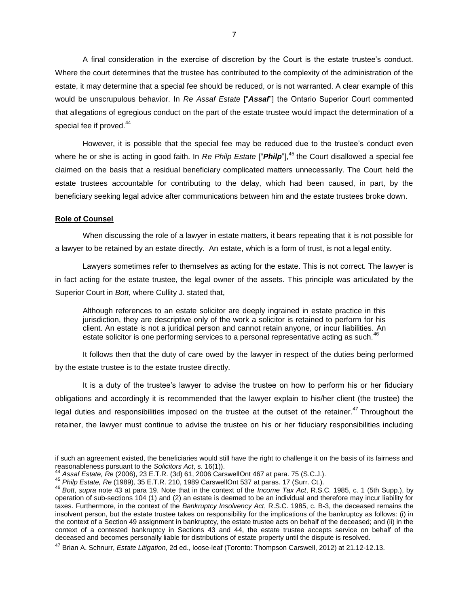A final consideration in the exercise of discretion by the Court is the estate trustee's conduct. Where the court determines that the trustee has contributed to the complexity of the administration of the estate, it may determine that a special fee should be reduced, or is not warranted. A clear example of this would be unscrupulous behavior. In *Re Assaf Estate* ["*Assaf*"] the Ontario Superior Court commented that allegations of egregious conduct on the part of the estate trustee would impact the determination of a special fee if proved.<sup>44</sup>

However, it is possible that the special fee may be reduced due to the trustee's conduct even where he or she is acting in good faith. In *Re Philp Estate* ["**Philp**"],<sup>45</sup> the Court disallowed a special fee claimed on the basis that a residual beneficiary complicated matters unnecessarily. The Court held the estate trustees accountable for contributing to the delay, which had been caused, in part, by the beneficiary seeking legal advice after communications between him and the estate trustees broke down.

#### **Role of Counsel**

l

When discussing the role of a lawyer in estate matters, it bears repeating that it is not possible for a lawyer to be retained by an estate directly. An estate, which is a form of trust, is not a legal entity.

Lawyers sometimes refer to themselves as acting for the estate. This is not correct. The lawyer is in fact acting for the estate trustee, the legal owner of the assets. This principle was articulated by the Superior Court in *Bott*, where Cullity J. stated that,

Although references to an estate solicitor are deeply ingrained in estate practice in this jurisdiction, they are descriptive only of the work a solicitor is retained to perform for his client. An estate is not a juridical person and cannot retain anyone, or incur liabilities. An estate solicitor is one performing services to a personal representative acting as such.<sup>4</sup>

It follows then that the duty of care owed by the lawyer in respect of the duties being performed by the estate trustee is to the estate trustee directly.

It is a duty of the trustee's lawyer to advise the trustee on how to perform his or her fiduciary obligations and accordingly it is recommended that the lawyer explain to his/her client (the trustee) the legal duties and responsibilities imposed on the trustee at the outset of the retainer.<sup>47</sup> Throughout the retainer, the lawyer must continue to advise the trustee on his or her fiduciary responsibilities including

if such an agreement existed, the beneficiaries would still have the right to challenge it on the basis of its fairness and reasonableness pursuant to the *Solicitors Act*, s. 16(1)).

<sup>44</sup> *Assaf Estate, Re* (2006), 23 E.T.R. (3d) 61, 2006 CarswellOnt 467 at para. 75 (S.C.J.).

<sup>45</sup> *Philp Estate, Re* (1989)*,* 35 E.T.R. 210, 1989 CarswellOnt 537 at paras. 17 (Surr. Ct.).

<sup>46</sup> *Bott*, *supra* note 43 at para 19. Note that in the context of the *Income Tax Act*, R.S.C. 1985, c. 1 (5th Supp.), by operation of sub-sections 104 (1) and (2) an estate is deemed to be an individual and therefore may incur liability for taxes. Furthermore, in the context of the *Bankruptcy Insolvency Act*, R.S.C. 1985, c. B-3, the deceased remains the insolvent person, but the estate trustee takes on responsibility for the implications of the bankruptcy as follows: (i) in the context of a Section 49 assignment in bankruptcy, the estate trustee acts on behalf of the deceased; and (ii) in the context of a contested bankruptcy in Sections 43 and 44, the estate trustee accepts service on behalf of the deceased and becomes personally liable for distributions of estate property until the dispute is resolved.

<sup>47</sup> Brian A. Schnurr, *Estate Litigation*, 2d ed., loose-leaf (Toronto: Thompson Carswell, 2012) at 21.12-12.13.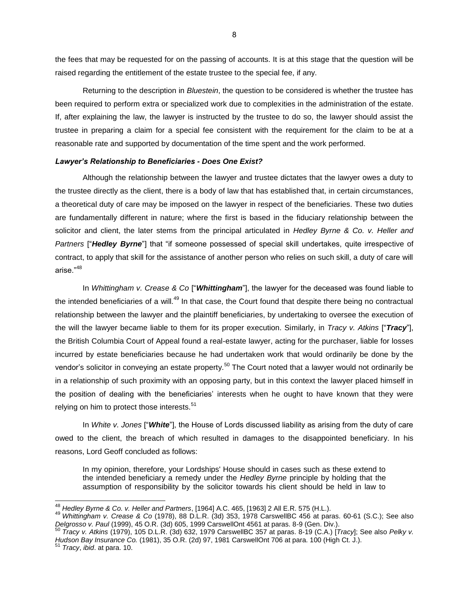the fees that may be requested for on the passing of accounts. It is at this stage that the question will be raised regarding the entitlement of the estate trustee to the special fee, if any.

Returning to the description in *Bluestein*, the question to be considered is whether the trustee has been required to perform extra or specialized work due to complexities in the administration of the estate. If, after explaining the law, the lawyer is instructed by the trustee to do so, the lawyer should assist the trustee in preparing a claim for a special fee consistent with the requirement for the claim to be at a reasonable rate and supported by documentation of the time spent and the work performed.

#### *Lawyer's Relationship to Beneficiaries - Does One Exist?*

Although the relationship between the lawyer and trustee dictates that the lawyer owes a duty to the trustee directly as the client, there is a body of law that has established that, in certain circumstances, a theoretical duty of care may be imposed on the lawyer in respect of the beneficiaries. These two duties are fundamentally different in nature; where the first is based in the fiduciary relationship between the solicitor and client, the later stems from the principal articulated in *Hedley Byrne & Co. v. Heller and Partners* ["*Hedley Byrne*"] that "if someone possessed of special skill undertakes, quite irrespective of contract, to apply that skill for the assistance of another person who relies on such skill, a duty of care will arise."<sup>48</sup>

In *Whittingham v. Crease & Co* ["*Whittingham*"], the lawyer for the deceased was found liable to the intended beneficiaries of a will.<sup>49</sup> In that case, the Court found that despite there being no contractual relationship between the lawyer and the plaintiff beneficiaries, by undertaking to oversee the execution of the will the lawyer became liable to them for its proper execution. Similarly, in *Tracy v. Atkins* ["*Tracy*"], the British Columbia Court of Appeal found a real-estate lawyer, acting for the purchaser, liable for losses incurred by estate beneficiaries because he had undertaken work that would ordinarily be done by the vendor's solicitor in conveying an estate property.<sup>50</sup> The Court noted that a lawyer would not ordinarily be in a relationship of such proximity with an opposing party, but in this context the lawyer placed himself in the position of dealing with the beneficiaries' interests when he ought to have known that they were relying on him to protect those interests.<sup>51</sup>

In *White v. Jones* ["*White*"], the House of Lords discussed liability as arising from the duty of care owed to the client, the breach of which resulted in damages to the disappointed beneficiary. In his reasons, Lord Geoff concluded as follows:

In my opinion, therefore, your Lordships' House should in cases such as these extend to the intended beneficiary a remedy under the *Hedley Byrne* principle by holding that the assumption of responsibility by the solicitor towards his client should be held in law to

<sup>48</sup> *Hedley Byrne & Co. v. Heller and Partners*, [1964] A.C. 465, [1963] 2 All E.R. 575 (H.L.).

<sup>49</sup> *Whittingham v. Crease & Co* (1978), 88 D.L.R. (3d) 353, 1978 CarswellBC 456 at paras. 60-61 (S.C.); See also *Delgrosso v. Paul* (1999), 45 O.R. (3d) 605, 1999 CarswellOnt 4561 at paras. 8-9 (Gen. Div.).

<sup>50</sup> *Tracy v. Atkins* (1979), 105 D.L.R. (3d) 632, 1979 CarswellBC 357 at paras. 8-19 (C.A.) [*Tracy*]; See also *Pelky v. Hudson Bay Insurance Co.* (1981), 35 O.R. (2d) 97, 1981 CarswellOnt 706 at para. 100 (High Ct. J.).

<sup>51</sup> *Tracy*, *ibid*. at para. 10.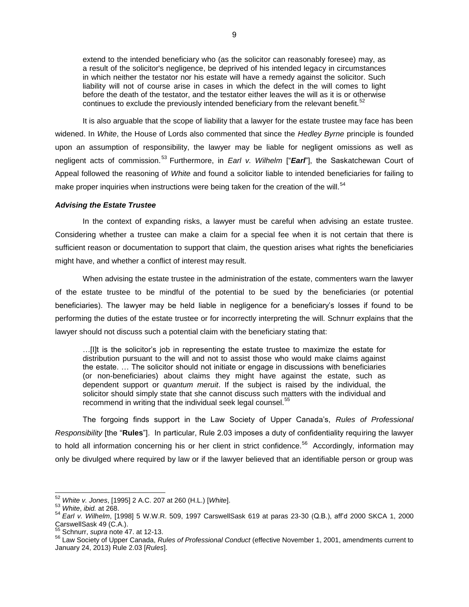extend to the intended beneficiary who (as the solicitor can reasonably foresee) may, as a result of the solicitor's negligence, be deprived of his intended legacy in circumstances in which neither the testator nor his estate will have a remedy against the solicitor. Such liability will not of course arise in cases in which the defect in the will comes to light before the death of the testator, and the testator either leaves the will as it is or otherwise continues to exclude the previously intended beneficiary from the relevant benefit.<sup>52</sup>

It is also arguable that the scope of liability that a lawyer for the estate trustee may face has been widened. In *White*, the House of Lords also commented that since the *Hedley Byrne* principle is founded upon an assumption of responsibility, the lawyer may be liable for negligent omissions as well as negligent acts of commission. <sup>53</sup> Furthermore, in *Earl v. Wilhelm* ["*Earl*"], the Saskatchewan Court of Appeal followed the reasoning of *White* and found a solicitor liable to intended beneficiaries for failing to make proper inquiries when instructions were being taken for the creation of the will.<sup>54</sup>

#### *Advising the Estate Trustee*

In the context of expanding risks, a lawyer must be careful when advising an estate trustee. Considering whether a trustee can make a claim for a special fee when it is not certain that there is sufficient reason or documentation to support that claim, the question arises what rights the beneficiaries might have, and whether a conflict of interest may result.

When advising the estate trustee in the administration of the estate, commenters warn the lawyer of the estate trustee to be mindful of the potential to be sued by the beneficiaries (or potential beneficiaries). The lawyer may be held liable in negligence for a beneficiary's losses if found to be performing the duties of the estate trustee or for incorrectly interpreting the will. Schnurr explains that the lawyer should not discuss such a potential claim with the beneficiary stating that:

…[I]t is the solicitor's job in representing the estate trustee to maximize the estate for distribution pursuant to the will and not to assist those who would make claims against the estate. … The solicitor should not initiate or engage in discussions with beneficiaries (or non-beneficiaries) about claims they might have against the estate, such as dependent support or *quantum meruit*. If the subject is raised by the individual, the solicitor should simply state that she cannot discuss such matters with the individual and recommend in writing that the individual seek legal counsel.<sup>55</sup>

The forgoing finds support in the Law Society of Upper Canada's, *Rules of Professional Responsibility* [the "**Rules**"]. In particular, Rule 2.03 imposes a duty of confidentiality requiring the lawyer to hold all information concerning his or her client in strict confidence.<sup>56</sup> Accordingly, information may only be divulged where required by law or if the lawyer believed that an identifiable person or group was

<sup>52</sup> *White v. Jones*, [1995] 2 A.C. 207 at 260 (H.L.) [*White*].

<sup>53</sup> *White*, *ibid.* at 268.

<sup>54</sup> *Earl v. Wilhelm*, [1998] 5 W.W.R. 509, 1997 CarswellSask 619 at paras 23-30 (Q.B.), aff'd 2000 SKCA 1, 2000 CarswellSask 49 (C.A.).

<sup>55</sup> Schnurr, *supra* note 47. at 12-13.

<sup>56</sup> Law Society of Upper Canada, *Rules of Professional Conduct* (effective November 1, 2001, amendments current to January 24, 2013) Rule 2.03 [*Rules*].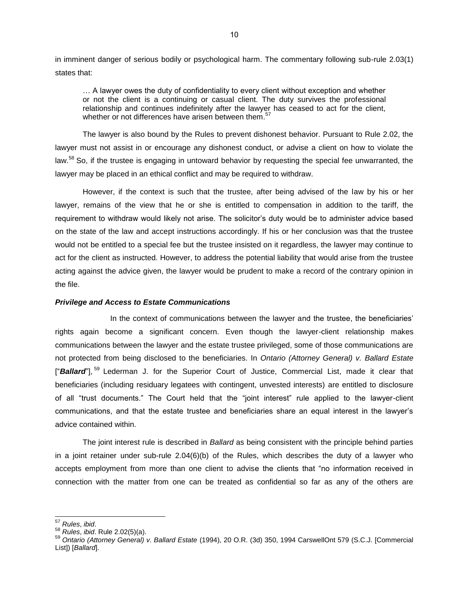in imminent danger of serious bodily or psychological harm. The commentary following sub-rule 2.03(1) states that:

… A lawyer owes the duty of confidentiality to every client without exception and whether or not the client is a continuing or casual client. The duty survives the professional relationship and continues indefinitely after the lawyer has ceased to act for the client, whether or not differences have arisen between them.<sup>57</sup>

The lawyer is also bound by the Rules to prevent dishonest behavior. Pursuant to Rule 2.02, the lawyer must not assist in or encourage any dishonest conduct, or advise a client on how to violate the law.<sup>58</sup> So, if the trustee is engaging in untoward behavior by requesting the special fee unwarranted, the lawyer may be placed in an ethical conflict and may be required to withdraw.

However, if the context is such that the trustee, after being advised of the law by his or her lawyer, remains of the view that he or she is entitled to compensation in addition to the tariff, the requirement to withdraw would likely not arise. The solicitor's duty would be to administer advice based on the state of the law and accept instructions accordingly. If his or her conclusion was that the trustee would not be entitled to a special fee but the trustee insisted on it regardless, the lawyer may continue to act for the client as instructed. However, to address the potential liability that would arise from the trustee acting against the advice given, the lawyer would be prudent to make a record of the contrary opinion in the file.

#### *Privilege and Access to Estate Communications*

In the context of communications between the lawyer and the trustee, the beneficiaries' rights again become a significant concern. Even though the lawyer-client relationship makes communications between the lawyer and the estate trustee privileged, some of those communications are not protected from being disclosed to the beneficiaries. In *Ontario (Attorney General) v. Ballard Estate* ["Ballard"],<sup>59</sup> Lederman J. for the Superior Court of Justice, Commercial List, made it clear that beneficiaries (including residuary legatees with contingent, unvested interests) are entitled to disclosure of all "trust documents." The Court held that the "joint interest" rule applied to the lawyer-client communications, and that the estate trustee and beneficiaries share an equal interest in the lawyer's advice contained within.

The joint interest rule is described in *Ballard* as being consistent with the principle behind parties in a joint retainer under sub-rule 2.04(6)(b) of the Rules, which describes the duty of a lawyer who accepts employment from more than one client to advise the clients that "no information received in connection with the matter from one can be treated as confidential so far as any of the others are

<sup>57</sup> *Rules*, *ibid*.

<sup>58</sup> *Rules*, *ibid*. Rule 2.02(5)(a).

<sup>59</sup> *Ontario (Attorney General) v. Ballard Estate* (1994), 20 O.R. (3d) 350, 1994 CarswellOnt 579 (S.C.J. [Commercial List]) [*Ballard*].